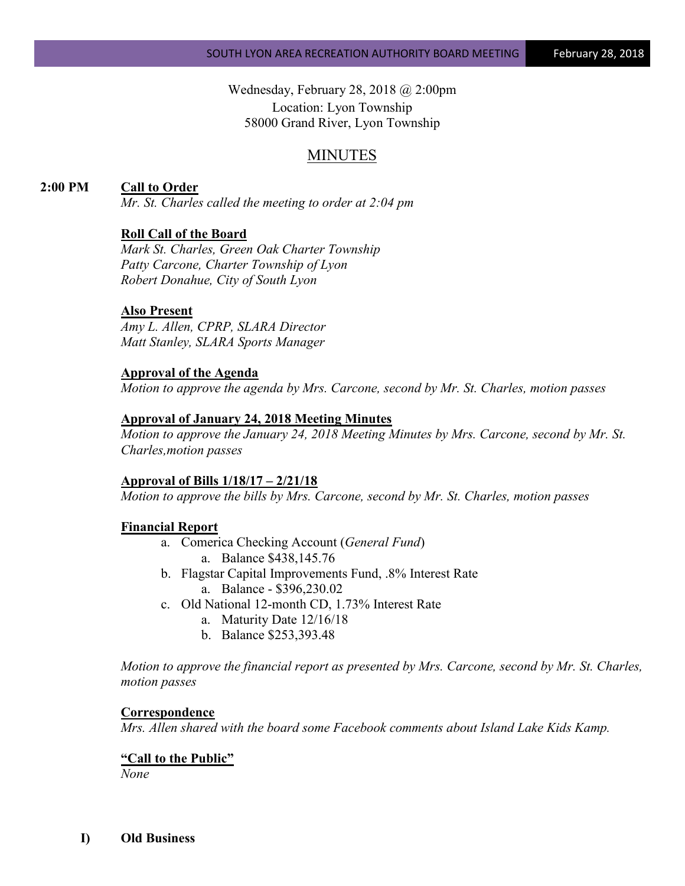Wednesday, February 28, 2018 @ 2:00pm Location: Lyon Township 58000 Grand River, Lyon Township

# MINUTES

## **2:00 PM Call to Order**

*Mr. St. Charles called the meeting to order at 2:04 pm*

### **Roll Call of the Board**

*Mark St. Charles, Green Oak Charter Township Patty Carcone, Charter Township of Lyon Robert Donahue, City of South Lyon*

### **Also Present**

*Amy L. Allen, CPRP, SLARA Director Matt Stanley, SLARA Sports Manager*

#### **Approval of the Agenda**

*Motion to approve the agenda by Mrs. Carcone, second by Mr. St. Charles, motion passes*

### **Approval of January 24, 2018 Meeting Minutes**

*Motion to approve the January 24, 2018 Meeting Minutes by Mrs. Carcone, second by Mr. St. Charles,motion passes*

#### **Approval of Bills 1/18/17 – 2/21/18**

*Motion to approve the bills by Mrs. Carcone, second by Mr. St. Charles, motion passes*

#### **Financial Report**

- a. Comerica Checking Account (*General Fund*) a. Balance \$438,145.76
- b. Flagstar Capital Improvements Fund, .8% Interest Rate a. Balance - \$396,230.02
- c. Old National 12-month CD, 1.73% Interest Rate
	- a. Maturity Date 12/16/18
	- b. Balance \$253,393.48

*Motion to approve the financial report as presented by Mrs. Carcone, second by Mr. St. Charles, motion passes*

#### **Correspondence**

*Mrs. Allen shared with the board some Facebook comments about Island Lake Kids Kamp.*

### **"Call to the Public"**

*None*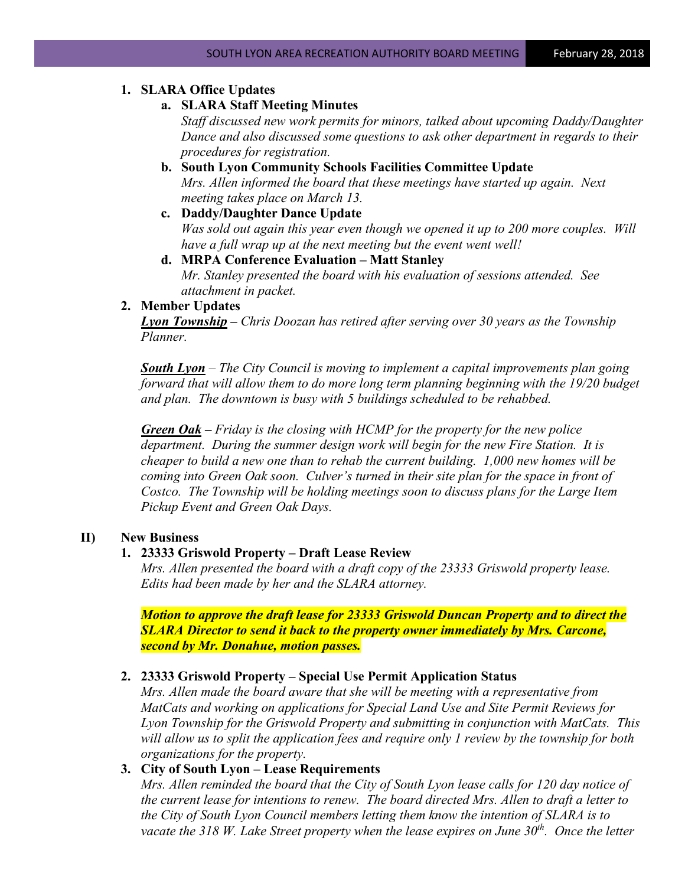## **1. SLARA Office Updates**

## **a. SLARA Staff Meeting Minutes**

*Staff discussed new work permits for minors, talked about upcoming Daddy/Daughter Dance and also discussed some questions to ask other department in regards to their procedures for registration.*

- **b. South Lyon Community Schools Facilities Committee Update** *Mrs. Allen informed the board that these meetings have started up again. Next meeting takes place on March 13.*
- **c. Daddy/Daughter Dance Update** *Was sold out again this year even though we opened it up to 200 more couples. Will have a full wrap up at the next meeting but the event went well!*
- **d. MRPA Conference Evaluation – Matt Stanley** *Mr. Stanley presented the board with his evaluation of sessions attended. See attachment in packet.*

### **2. Member Updates**

*Lyon Township – Chris Doozan has retired after serving over 30 years as the Township Planner.* 

*South Lyon* – *The City Council is moving to implement a capital improvements plan going forward that will allow them to do more long term planning beginning with the 19/20 budget and plan. The downtown is busy with 5 buildings scheduled to be rehabbed.* 

*Green Oak – Friday is the closing with HCMP for the property for the new police department. During the summer design work will begin for the new Fire Station. It is cheaper to build a new one than to rehab the current building. 1,000 new homes will be coming into Green Oak soon. Culver's turned in their site plan for the space in front of Costco. The Township will be holding meetings soon to discuss plans for the Large Item Pickup Event and Green Oak Days.*

## **II) New Business**

## **1. 23333 Griswold Property – Draft Lease Review**

*Mrs. Allen presented the board with a draft copy of the 23333 Griswold property lease. Edits had been made by her and the SLARA attorney.* 

*Motion to approve the draft lease for 23333 Griswold Duncan Property and to direct the SLARA Director to send it back to the property owner immediately by Mrs. Carcone, second by Mr. Donahue, motion passes.*

## **2. 23333 Griswold Property – Special Use Permit Application Status**

*Mrs. Allen made the board aware that she will be meeting with a representative from MatCats and working on applications for Special Land Use and Site Permit Reviews for Lyon Township for the Griswold Property and submitting in conjunction with MatCats. This will allow us to split the application fees and require only 1 review by the township for both organizations for the property.*

# **3. City of South Lyon – Lease Requirements**

*Mrs. Allen reminded the board that the City of South Lyon lease calls for 120 day notice of the current lease for intentions to renew. The board directed Mrs. Allen to draft a letter to the City of South Lyon Council members letting them know the intention of SLARA is to vacate the 318 W. Lake Street property when the lease expires on June 30<sup>th</sup>. Once the letter*